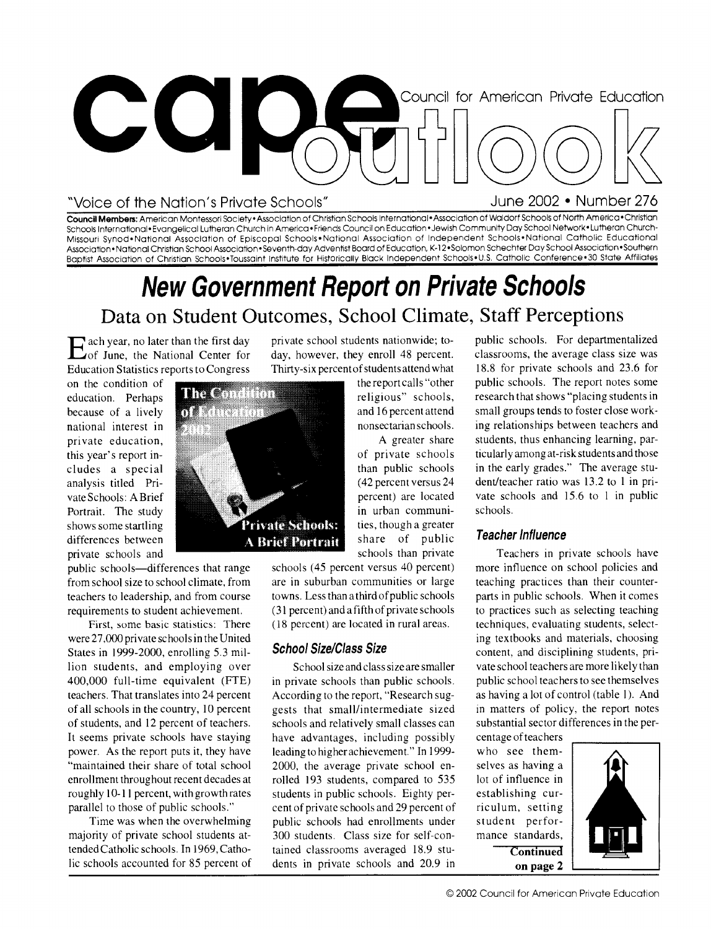

### "Voice of the Nation's Private Schools" June 2002 • Number 276

**Council Members:** American Montessori Society•Association of Christian Schools International- Association of Waldorf Schools of North America •Christian Schools International•Evangelical Lutheran Church in America•Friends Council on Education•Jewish Community Day School Network•Lutheran Church-Missouri Synod•National Association of Episcopal Schools• National Association of Independent Schools• National Catholic Educational Association • National Christian School Association • Seventh-day Adventist Board of Education, K-12 • Solomon Schechter Day School Association • Southern Baptist Association of Christian Schools•Toussaint Institute for Historically Black Independent Schools•U.S. Catholic Conference•30 State Affiliates

## **New Government Report on Private Schools**  Data on Student Outcomes, School Climate, Staff Perceptions

E ach year, no later than the first day<br>
Eof June, the National Center for of June, the National Center for Education Statistics reports to Congress

on the condition of education. Perhaps because of a lively national interest in private education, this year's report includes a special analysis titled Private Schools: A Brief Portrait. The study shows some startling differences between private schools and

public schools—differences that range from school size to school climate, from teachers to leadership, and from course requirements to student achievement.

First, some basic statistics: There were 27,000 private schools in the United States in 1999-2000, enrolling 5.3 million students, and employing over 400,000 full-time equivalent (FTE) teachers. That translates into 24 percent of all schools in the country, 10 percent of students, and 12 percent of teachers. It seems private schools have staying power. As the report puts it, they have "maintained their share of total school enrollment throughout recent decades at roughly 10-11 percent, with growth rates parallel to those of public schools."

Time was when the overwhelming majority of private school students attended Catholic schools. In 1969, Catholic schools accounted for 85 percent of private school students nationwide; today, however, they enroll 48 percent. Thirty-six percent of students attend what

> the report calls "other religious" schools, and 16 percent attend nonsectarian schools.

A greater share of private schools than public schools (42 percent versus 24 percent) are located in urban communities, though a greater share of public schools than private

schools (45 percent versus 40 percent) are in suburban communities or large towns. Less than a third of public schools (31 percent) and a fifth of private schools (18 percent) are located in rural areas.

### **School Size/Class Size**

School size and class size are smaller in private schools than public schools. According to the report, "Research suggests that small/intermediate sized schools and relatively small classes can have advantages, including possibly leading to higher achievement." In 1999- 2000, the average private school enrolled 193 students, compared to 535 students in public schools. Eighty percent of private schools and 29 percent of public schools had enrollments under 300 students. Class size for self-contained classrooms averaged 18.9 students in private schools and 20.9 in

public schools. For departmentalized classrooms, the average class size was 18.8 for private schools and 23.6 for public schools. The report notes some research that shows "placing students in small groups tends to foster close working relationships between teachers and students, thus enhancing learning, particularly among at-risk students and those in the early grades." The average student/teacher ratio was 13.2 to 1 in private schools and 15.6 to 1 in public schools.

### **Teacher Influence**

Teachers in private schools have more influence on school policies and teaching practices than their counterparts in public schools. When it comes to practices such as selecting teaching techniques, evaluating students, selecting textbooks and materials, choosing content, and disciplining students, private school teachers are more likely than public school teachers to see themselves as having a lot of control (table 1). And in matters of policy, the report notes substantial sector differences in the per-

centage of teachers who see themselves as having a lot of influence in establishing curriculum, setting student performance standards, **Continued on page** 2



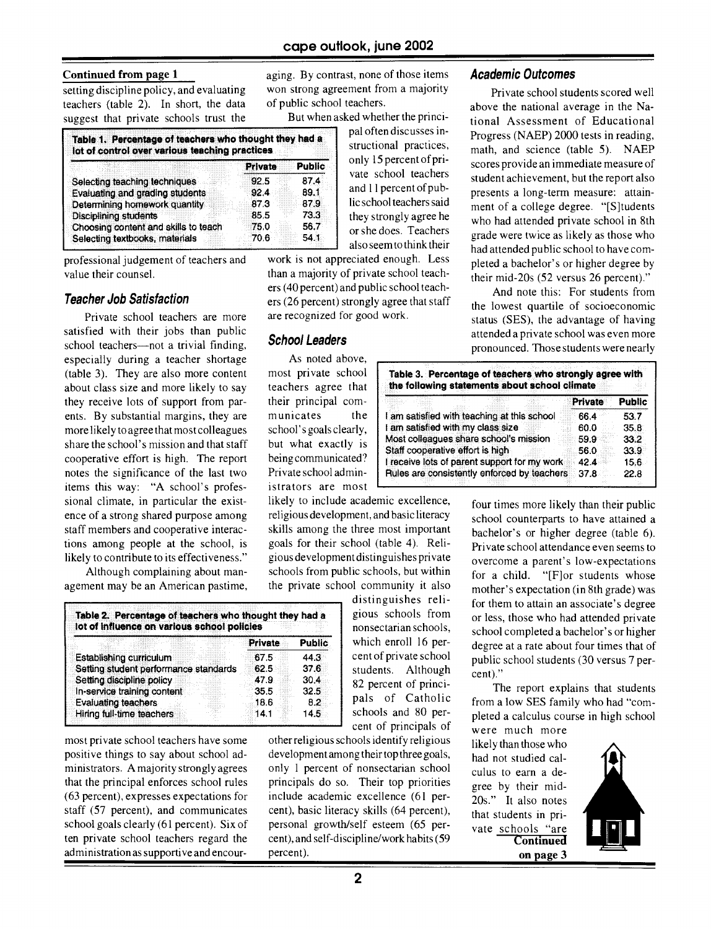### **Continued from page 1**

setting discipline policy, and evaluating teachers (table 2). In short, the data suggest that private schools trust the

| Table 1. Percentage of teachers who thought they had a<br>lot of control over various teaching practices |              |               |
|----------------------------------------------------------------------------------------------------------|--------------|---------------|
|                                                                                                          | Private      | <b>Public</b> |
| Selecting teaching techniques<br>Evaluating and grading students                                         | 92.5<br>92.4 | 87.4<br>89.1  |
| Determining homework quantity<br><b>Disciplining students</b>                                            | 873<br>85.5  | 879<br>73.3   |
| Choosing content and skills to teach                                                                     | 75.0         | 56.7          |
| Selecting textbooks, materials                                                                           | 70.6         | 54.1          |

professional judgement of teachers and value their counsel.

### **Teacher Job Satisfaction**

satisfied with their jobs than public school teachers—not a trivial finding, **School Leaders** Private school teachers are more especially during a teacher shortage As noted above, (table 3). They are also more content most private school about class size and more likely to say teachers agree that they receive lots of support from par- their principal coments. By substantial margins, they are municates the more likely to agree that most colleagues school's goals clearly, share the school's mission and that staff but what exactly is cooperative effort is high. The report being communicated? notes the significance of the last two Private school adminitems this way: "A school's profes- istrators are most sional climate, in particular the existence of a strong shared purpose among staff members and cooperative interactions among people at the school, is likely to contribute to its effectiveness."

Although complaining about management may be an American pastime,

|                     | lot of influence on various school policies |  | Table 2. Percentage of teachers who thought they had a |               |
|---------------------|---------------------------------------------|--|--------------------------------------------------------|---------------|
|                     |                                             |  | <b>Private</b>                                         | <b>Public</b> |
|                     | Establishing curriculum                     |  | 67.5                                                   | 44.3          |
|                     | Setting student performance standards       |  | 62.5                                                   | 37.6          |
|                     | Setting discipline policy                   |  | 47.9                                                   | 30.4          |
|                     | In-service training content                 |  | 35.5                                                   | 32.5          |
| Evaluating teachers |                                             |  | 18.6                                                   | 8.2           |
|                     | Hiring full-time teachers                   |  | 14.1                                                   | 14.5          |

administration as supportive and encour- percent). **on page 3** 

aging. By contrast, none of those items won strong agreement from a majority of public school teachers.

But when asked whether the princi-

pal often discusses instructional practices, only 15 percent of private school teachers and 11 percent of public school teachers said they strongly agree he or she does. Teachers also seem to think their

work is not appreciated enough. Less than a majority of private school teachers (40 percent) and public school teachers (26 percent) strongly agree that staff are recognized for good work.

likely to include academic excellence, religious development, and basic literacy skills among the three most important goals for their school (table 4). Religious development distinguishes private schools from public schools, but within the private school community it also

distinguishes relistudents. Although cent)."<br>82 percent of princi-

most private school teachers have some other religious schools identify religious likely than those who positive things to say about school ad-<br>positive things to say about school ad-<br>development among their top three goal positive things to say about school ad-<br>ministrators. A majority strongly agrees only 1 percent of nonsectarian school culus to earn a deministrators. A majority strongly agrees only 1 percent of nonsectarian school culus to earn a de-<br>that the principal enforces school rules principals do so. Their top priorities area by their midthat the principal enforces school rules principals do so. Their top priorities gree by their mid-<br>(63 percent), expresses expectations for include academic excellence (61 per  $20e$ ," It also notes (63 percent), expresses expectations for include academic excellence (61 per-<br>staff (57 percent), and communicates cent), basic literacy skills (64 percent), that students in pri cent), basic literacy skills (64 percent), that students in pri-<br>personal growth/self esteem (65 perschool goals clearly (61 percent). Six of personal growth/self esteem (65 per- vate schools "are ten private school teachers regard the cent), and self-discipline/work habits (59 **Continued** cent), and self-discipline/work habits (59 percent).

### **Academic Outcomes**

Private school students scored well above the national average in the National Assessment of Educational Progress (NAEP) 2000 tests in reading, math, and science (table 5). NAEP scores provide an immediate measure of student achievement, but the report also presents a long-term measure: attainment of a college degree. "[S]tudents who had attended private school in 8th grade were twice as likely as those who had attended public school to have completed a bachelor's or higher degree by their mid-20s (52 versus 26 percent)."

And note this: For students from the lowest quartile of socioeconomic status (SES), the advantage of having attended a private school was even more pronounced. Those students were nearly

|                                              |  | Private | <b>Public</b> |
|----------------------------------------------|--|---------|---------------|
|                                              |  |         |               |
| I am satisfied with teaching at this school  |  | 66.4    | 53.7          |
| I am satisfied with my class size            |  | 60.0    | 35.8          |
| Most colleagues share school's mission       |  | 59.9    | 33.2          |
| Staff cooperative effort is high             |  | 56.0    | 33.9          |
| I receive lots of parent support for my work |  | 42.4    | 15.6          |
| Rules are consistently enforced by teachers  |  | 37.8    | 22.8          |

four times more likely than their public school counterparts to have attained a bachelor's or higher degree (table 6). Private school attendance even seems to overcome a parent's low-expectations for a child. "[F]or students whose mother's expectation (in 8th grade) was for them to attain an associate's degree gious schools from or less, those who had attended private<br>nonsectarian schools, school completed a bachelor's or higher nonsectarian schools,<br>which enroll 16 per-<br>degree at a rate about four times that of which enroll 16 per-<br>
degree at a rate about four times that of<br>
cent of private school studies chool students (30 versus 7 perpublic school students (30 versus 7 per-

 $82$  percent of princi-<br>
The report explains that students<br>
pals of Catholic  $\frac{1}{2}$  from a low SFS family who had "compals of Catholic from a low SES family who had "com-<br>schools and 80 per-<br>pleted a calculus course in high school schools and  $80$  per-<br>pleted a calculus course in high school<br>cent of principals of

were much more

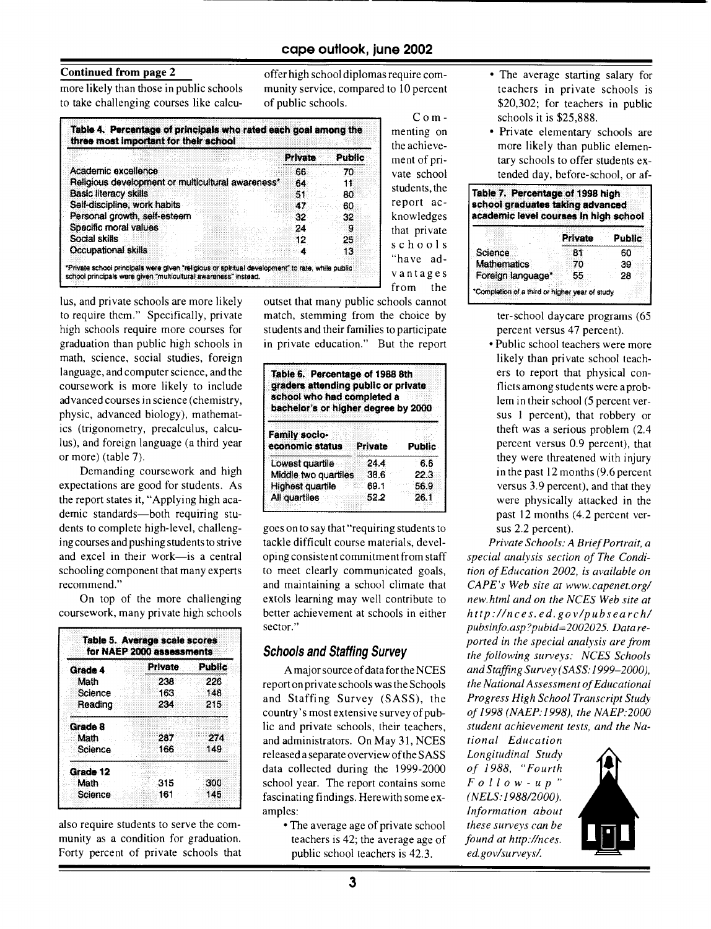### **Continued from page** 2

more likely than those in public schools to take challenging courses like calcuoffer high school diplomas require community service, compared to 10 percent of public schools.

> Commenting on

the achievement of private school students, the report acknowledges that private schools "have advantages

|                                                   | Private | Public |
|---------------------------------------------------|---------|--------|
| Academic excellence                               | 66      | -70    |
| Religious development or multicultural awareness* | 64      | 11     |
| Basic literacy skills                             | 51      | 80     |
| Self-discipline, work habits                      | 47.     | 60     |
| Personal growth, self-esteem                      | 32      | 32     |
| Specific moral values                             | 24      | g      |
| Social skills                                     | 12      | 25     |
| Occupational skills                               | 4       | 13     |

lus, and private schools are more likely to require them." Specifically, private high schools require more courses for graduation than public high schools in math, science, social studies, foreign language, and computer science, and the coursework is more likely to include advanced courses in science (chemistry, physic, advanced biology), mathematics (trigonometry, precalculus, calculus), and foreign language (a third year or more) (table 7).

Demanding coursework and high expectations are good for students. As the report states it, "Applying high academic standards—both requiring students to complete high-level, challenging courses and pushing students to strive and excel in their work—is a central schooling component that many experts recommend."

On top of the more challenging coursework, many private high schools

| Grade 4  | Private. | Pubilc |
|----------|----------|--------|
| Math     | 238      | 226    |
| Science  | 163      | 148    |
| Reading  | 234      | 215    |
| Grade 8  |          |        |
| Math     | 287      | 274    |
| Science  | 166      | 149    |
| Grade 12 |          |        |
| Math     | 315      | 300    |
| Science  | 161      | 145    |

also require students to serve the corn- • The average age of private school *these surveys can be*  munity as a condition for graduation. teachers is 42; the average age of *found at http://nces.* Forty percent of private schools that public school teachers is 42.3. *ed.gov/surveys/.* 

from the outset that many public schools cannot match, stemming from the choice by students and their families to participate in private education." But the report

| Table 6. Percentage of 1988 8th<br>graders attending public or private<br>school who had completed a<br>bachelor's or higher degree by 2000 |                |               |  |  |
|---------------------------------------------------------------------------------------------------------------------------------------------|----------------|---------------|--|--|
| <b>Family socio-</b><br>economic status                                                                                                     | <b>Private</b> | <b>Public</b> |  |  |
| Lowest quartile                                                                                                                             | 24.4           | 6.6           |  |  |
| Middle two quartiles                                                                                                                        | 38.6           | 22.3          |  |  |
| Highest quartile                                                                                                                            | 69.1           | 56.9          |  |  |
| All quartiles                                                                                                                               | 52.2           | 26.1          |  |  |

goes on to say that "requiring students to tackle difficult course materials, developing consistent commitment from staff to meet clearly communicated goals, and maintaining a school climate that extols learning may well contribute to better achievement at schools in either sector."

### **Schools and Staffing Survey**

A major source of data for the NCES report on private schools was the Schools and Staffing Survey (SASS), the country's most extensive survey of public and private schools, their teachers, and administrators. On May 31, NCES released a separate overview of the SASS data collected during the 1999-2000 school year. The report contains some *F o l l o w- u p*  fascinating findings. Herewith some ex- *(NELS:1988/2000).*  amples: *Information about* 

- The average starting salary for teachers in private schools is \$20,302; for teachers in public schools it is \$25,888.
- Private elementary schools are more likely than public elementary schools to offer students extended day, before-school, or af-

| Table 7. Percentage of 1998 high<br>school graduates taking advanced<br>academic level courses in high school |                |        |  |  |
|---------------------------------------------------------------------------------------------------------------|----------------|--------|--|--|
|                                                                                                               | <b>Private</b> | Public |  |  |
| Science                                                                                                       | B1             | 60     |  |  |
| <b>Mathematics</b>                                                                                            | 70             | 39     |  |  |
| Foreign language*                                                                                             | 55             | 28     |  |  |

ter-school daycare programs (65 percent versus 47 percent).

• Public school teachers were more likely than private school teachers to report that physical conflicts among students were a problem in their school (5 percent versus 1 percent), that robbery or theft was a serious problem (2.4 percent versus 0.9 percent), that they were threatened with injury in the past 12 months (9.6 percent versus 3.9 percent), and that they were physically attacked in the past 12 months (4.2 percent versus 2.2 percent).

*Private Schools: A Brief Portrait, a special analysis section* of *The Condition* of *Education 2002, is available on CAPE's Web site at www.capenet.org/ new.html and on the NCES Web site at http://nces. ed.gov/pubsearch/ pubsinfo. asp ?pubid=2002025. Data reported in the special analysis are from the following surveys: NCES Schools and Staffing Survey (SASS: 1999-2000), the National Assessment* of *Educational Progress High School Transcript Study*  of *1998 (NAEP:1998), the NAEP:2000 student achievement tests, and the Na-*

*tional Education Longitudinal Study of 1988, "Fourth*